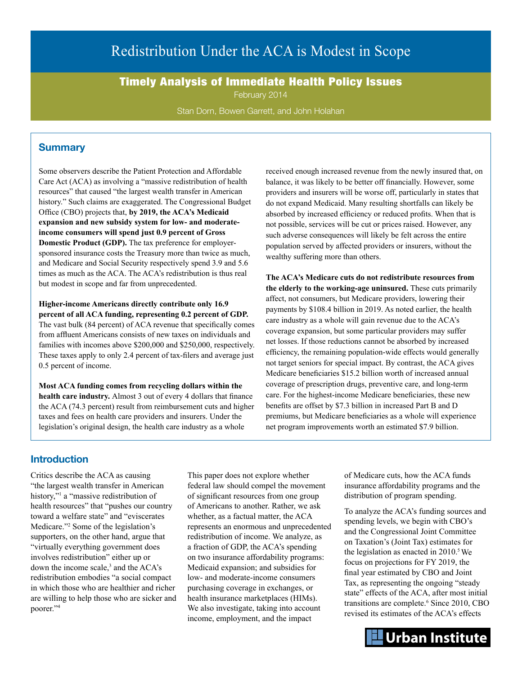# Redistribution Under the ACA is Modest in Scope

Timely Analysis of Immediate Health Policy Issues

February 2014

Stan Dorn, Bowen Garrett, and John Holahan

# **Summary**

Some observers describe the Patient Protection and Affordable Care Act (ACA) as involving a "massive redistribution of health resources" that caused "the largest wealth transfer in American history." Such claims are exaggerated. The Congressional Budget Office (CBO) projects that, **by 2019, the ACA's Medicaid expansion and new subsidy system for low- and moderateincome consumers will spend just 0.9 percent of Gross Domestic Product (GDP).** The tax preference for employersponsored insurance costs the Treasury more than twice as much, and Medicare and Social Security respectively spend 3.9 and 5.6 times as much as the ACA. The ACA's redistribution is thus real but modest in scope and far from unprecedented.

**Higher-income Americans directly contribute only 16.9 percent of all ACA funding, representing 0.2 percent of GDP.**  The vast bulk (84 percent) of ACA revenue that specifically comes from affluent Americans consists of new taxes on individuals and families with incomes above \$200,000 and \$250,000, respectively. These taxes apply to only 2.4 percent of tax-filers and average just 0.5 percent of income.

**Most ACA funding comes from recycling dollars within the health care industry.** Almost 3 out of every 4 dollars that finance the ACA (74.3 percent) result from reimbursement cuts and higher taxes and fees on health care providers and insurers. Under the legislation's original design, the health care industry as a whole

received enough increased revenue from the newly insured that, on balance, it was likely to be better off financially. However, some providers and insurers will be worse off, particularly in states that do not expand Medicaid. Many resulting shortfalls can likely be absorbed by increased efficiency or reduced profits. When that is not possible, services will be cut or prices raised. However, any such adverse consequences will likely be felt across the entire population served by affected providers or insurers, without the wealthy suffering more than others.

**The ACA's Medicare cuts do not redistribute resources from the elderly to the working-age uninsured.** These cuts primarily affect, not consumers, but Medicare providers, lowering their payments by \$108.4 billion in 2019. As noted earlier, the health care industry as a whole will gain revenue due to the ACA's coverage expansion, but some particular providers may suffer net losses. If those reductions cannot be absorbed by increased efficiency, the remaining population-wide effects would generally not target seniors for special impact. By contrast, the ACA gives Medicare beneficiaries \$15.2 billion worth of increased annual coverage of prescription drugs, preventive care, and long-term care. For the highest-income Medicare beneficiaries, these new benefits are offset by \$7.3 billion in increased Part B and D premiums, but Medicare beneficiaries as a whole will experience net program improvements worth an estimated \$7.9 billion.

# **Introduction**

Critics describe the ACA as causing "the largest wealth transfer in American history,"<sup>[1](#page-8-0)</sup> a "massive redistribution of health resources" that "pushes our country toward a welfare state" and "eviscerates Medicare."[2](#page-8-1) Some of the legislation's supporters, on the other hand, argue that "virtually everything government does involves redistribution" either up or down the income scale, $3$  and the ACA's redistribution embodies "a social compact in which those who are healthier and richer are willing to help those who are sicker and poorer."[4](#page-8-3)

This paper does not explore whether federal law should compel the movement of significant resources from one group of Americans to another. Rather, we ask whether, as a factual matter, the ACA represents an enormous and unprecedented redistribution of income. We analyze, as a fraction of GDP, the ACA's spending on two insurance affordability programs: Medicaid expansion; and subsidies for low- and moderate-income consumers purchasing coverage in exchanges, or health insurance marketplaces (HIMs). We also investigate, taking into account income, employment, and the impact

of Medicare cuts, how the ACA funds insurance affordability programs and the distribution of program spending.

To analyze the ACA's funding sources and spending levels, we begin with CBO's and the Congressional Joint Committee on Taxation's (Joint Tax) estimates for the legislation as enacted in  $2010$ .<sup>5</sup> We focus on projections for FY 2019, the final year estimated by CBO and Joint Tax, as representing the ongoing "steady state" effects of the ACA, after most initial transitions are complete.<sup>6</sup> Since 2010, CBO revised its estimates of the ACA's effects

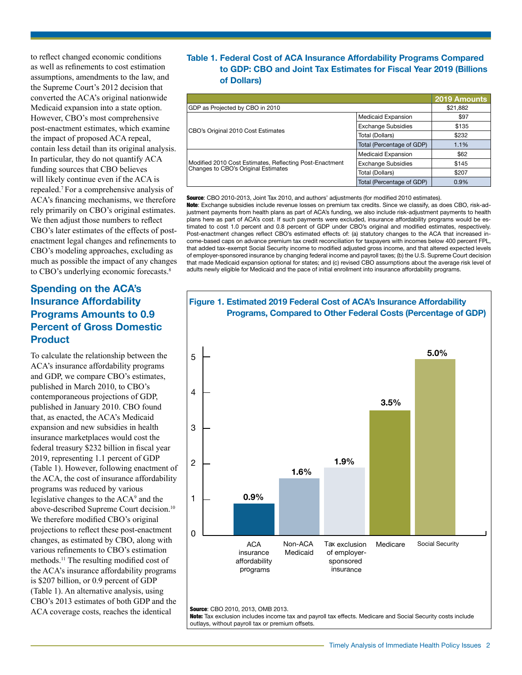to reflect changed economic conditions as well as refinements to cost estimation assumptions, amendments to the law, and the Supreme Court's 2012 decision that converted the ACA's original nationwide Medicaid expansion into a state option. However, CBO's most comprehensive post-enactment estimates, which examine the impact of proposed ACA repeal, contain less detail than its original analysis. In particular, they do not quantify ACA funding sources that CBO believes will likely continue even if the ACA is repealed.[7](#page-8-6) For a comprehensive analysis of ACA's financing mechanisms, we therefore rely primarily on CBO's original estimates. We then adjust those numbers to reflect CBO's later estimates of the effects of postenactment legal changes and refinements to CBO's modeling approaches, excluding as much as possible the impact of any changes to CBO's underlying economic forecasts.<sup>8</sup>

# **Spending on the ACA's Insurance Affordability Programs Amounts to 0.9 Percent of Gross Domestic Product**

To calculate the relationship between the ACA's insurance affordability programs and GDP, we compare CBO's estimates, published in March 2010, to CBO's contemporaneous projections of GDP, published in January 2010. CBO found that, as enacted, the ACA's Medicaid expansion and new subsidies in health insurance marketplaces would cost the federal treasury \$232 billion in fiscal year 2019, representing 1.1 percent of GDP (Table 1). However, following enactment of the ACA, the cost of insurance affordability programs was reduced by various legislative changes to the ACA<sup>9</sup> and the above-described Supreme Court decision.[10](#page-8-9) We therefore modified CBO's original projections to reflect these post-enactment changes, as estimated by CBO, along with various refinements to CBO's estimation methods.[11](#page-8-10) The resulting modified cost of the ACA's insurance affordability programs is \$207 billion, or 0.9 percent of GDP (Table 1). An alternative analysis, using CBO's 2013 estimates of both GDP and the ACA coverage costs, reaches the identical

# **Table 1. Federal Cost of ACA Insurance Affordability Programs Compared to GDP: CBO and Joint Tax Estimates for Fiscal Year 2019 (Billions of Dollars)**

|                                                                                                |                           | 2019 Amounts |
|------------------------------------------------------------------------------------------------|---------------------------|--------------|
| GDP as Projected by CBO in 2010                                                                | \$21,882                  |              |
|                                                                                                | <b>Medicaid Expansion</b> | \$97         |
| CBO's Original 2010 Cost Estimates                                                             | <b>Exchange Subsidies</b> | \$135        |
|                                                                                                | Total (Dollars)           | \$232        |
|                                                                                                | Total (Percentage of GDP) | 1.1%         |
|                                                                                                | <b>Medicaid Expansion</b> | \$62         |
| Modified 2010 Cost Estimates, Reflecting Post-Enactment<br>Changes to CBO's Original Estimates | <b>Exchange Subsidies</b> | \$145        |
|                                                                                                | Total (Dollars)           | \$207        |
|                                                                                                | Total (Percentage of GDP) | 0.9%         |

Source: CBO 2010-2013, Joint Tax 2010, and authors' adjustments (for modified 2010 estimates).

Note: Exchange subsidies include revenue losses on premium tax credits. Since we classify, as does CBO, risk-adjustment payments from health plans as part of ACA's funding, we also include risk-adjustment payments to health plans here as part of ACA's cost. If such payments were excluded, insurance affordability programs would be estimated to cost 1.0 percent and 0.8 percent of GDP under CBO's original and modified estimates, respectively. Post-enactment changes reflect CBO's estimated effects of: (a) statutory changes to the ACA that increased income-based caps on advance premium tax credit reconciliation for taxpayers with incomes below 400 percent FPL, that added tax-exempt Social Security income to modified adjusted gross income, and that altered expected levels of employer-sponsored insurance by changing federal income and payroll taxes; (b) the U.S. Supreme Court decision that made Medicaid expansion optional for states; and (c) revised CBO assumptions about the average risk level of adults newly eligible for Medicaid and the pace of initial enrollment into insurance affordability programs.

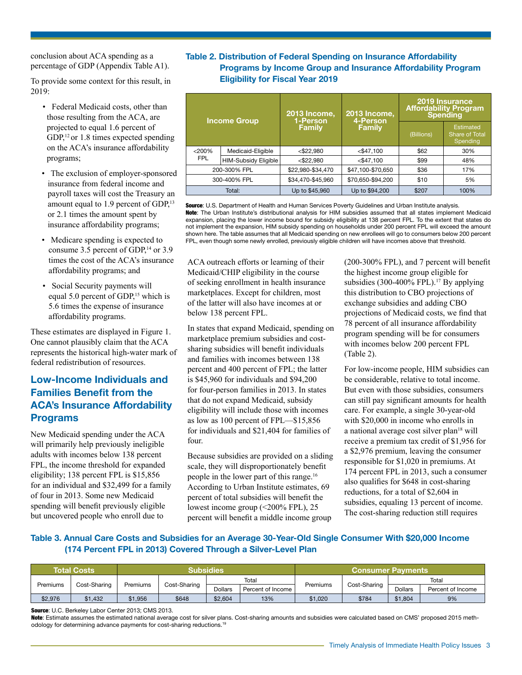conclusion about ACA spending as a percentage of GDP (Appendix Table A1).

To provide some context for this result, in 2019:

- Federal Medicaid costs, other than those resulting from the ACA, are projected to equal 1.6 percent of GDP, $12$  or 1.8 times expected spending on the ACA's insurance affordability programs;
- The exclusion of employer-sponsored insurance from federal income and payroll taxes will cost the Treasury an amount equal to 1.9 percent of GDP,<sup>13</sup> or 2.1 times the amount spent by insurance affordability programs;
- Medicare spending is expected to consume 3.5 percent of  $GDP<sub>14</sub>$  or 3.9 times the cost of the ACA's insurance affordability programs; and
- Social Security payments will equal 5.0 percent of GDP,<sup>15</sup> which is 5.6 times the expense of insurance affordability programs.

These estimates are displayed in Figure 1. One cannot plausibly claim that the ACA represents the historical high-water mark of federal redistribution of resources.

# **Low-Income Individuals and Families Benefit from the ACA's Insurance Affordability Programs**

New Medicaid spending under the ACA will primarily help previously ineligible adults with incomes below 138 percent FPL, the income threshold for expanded eligibility; 138 percent FPL is \$15,856 for an individual and \$32,499 for a family of four in 2013. Some new Medicaid spending will benefit previously eligible but uncovered people who enroll due to

# **Table 2. Distribution of Federal Spending on Insurance Affordability Programs by Income Group and Insurance Affordability Program Eligibility for Fiscal Year 2019**

| <b>Income Group</b>                       |  | <b>2013 Income,</b><br>1-Person | 2013 Income,<br>4-Person | 2019 Insurance<br><b>Affordability Program</b><br><b>Spending</b> |                                         |  |
|-------------------------------------------|--|---------------------------------|--------------------------|-------------------------------------------------------------------|-----------------------------------------|--|
|                                           |  | <b>Family</b>                   | <b>Family</b>            | (Billions)                                                        | Estimated<br>Share of Total<br>Spending |  |
| < 200%<br>Medicaid-Eligible               |  | $<$ \$22.980                    | $<$ \$47.100             | \$62                                                              | 30%                                     |  |
| <b>FPL</b><br><b>HIM-Subsidy Eligible</b> |  | $<$ \$22.980                    | $<$ \$47.100             | \$99                                                              | 48%                                     |  |
| 200-300% FPL                              |  | \$22,980-\$34,470               | \$47,100-\$70,650        | \$36                                                              | 17%                                     |  |
| 300-400% FPL                              |  | \$34,470-\$45,960               | \$70,650-\$94,200        | \$10                                                              | 5%                                      |  |
| Total:                                    |  | Up to \$45,960                  | Up to \$94,200           | \$207                                                             | 100%                                    |  |

Source: U.S. Department of Health and Human Services Poverty Guidelines and Urban Institute analysis. Note: The Urban Institute's distributional analysis for HIM subsidies assumed that all states implement Medicaid expansion, placing the lower income bound for subsidy eligibility at 138 percent FPL. To the extent that states do not implement the expansion, HIM subsidy spending on households under 200 percent FPL will exceed the amount shown here. The table assumes that all Medicaid spending on new enrollees will go to consumers below 200 percent FPL, even though some newly enrolled, previously eligible children will have incomes above that threshold.

ACA outreach efforts or learning of their Medicaid/CHIP eligibility in the course of seeking enrollment in health insurance marketplaces. Except for children, most of the latter will also have incomes at or below 138 percent FPL.

In states that expand Medicaid, spending on marketplace premium subsidies and costsharing subsidies will benefit individuals and families with incomes between 138 percent and 400 percent of FPL; the latter is \$45,960 for individuals and \$94,200 for four-person families in 2013. In states that do not expand Medicaid, subsidy eligibility will include those with incomes as low as 100 percent of FPL—\$15,856 for individuals and \$21,404 for families of four.

Because subsidies are provided on a sliding scale, they will disproportionately benefit people in the lower part of this range.[16](#page-9-1) According to Urban Institute estimates, 69 percent of total subsidies will benefit the lowest income group (<200% FPL), 25 percent will benefit a middle income group

(200-300% FPL), and 7 percent will benefit the highest income group eligible for subsidies  $(300-400\%$  FPL $)$ .<sup>[17](#page-9-2)</sup> By applying this distribution to CBO projections of exchange subsidies and adding CBO projections of Medicaid costs, we find that 78 percent of all insurance affordability program spending will be for consumers with incomes below 200 percent FPL (Table 2).

For low-income people, HIM subsidies can be considerable, relative to total income. But even with those subsidies, consumers can still pay significant amounts for health care. For example, a single 30-year-old with \$20,000 in income who enrolls in a national average cost silver plan<sup>18</sup> will receive a premium tax credit of \$1,956 for a \$2,976 premium, leaving the consumer responsible for \$1,020 in premiums. At 174 percent FPL in 2013, such a consumer also qualifies for \$648 in cost-sharing reductions, for a total of \$2,604 in subsidies, equaling 13 percent of income. The cost-sharing reduction still requires

# **Table 3. Annual Care Costs and Subsidies for an Average 30-Year-Old Single Consumer With \$20,000 Income (174 Percent FPL in 2013) Covered Through a Silver-Level Plan**

|          | <b>Total Costs</b><br><b>Subsidies</b> |          |              |                |                   |          |              |         |                   |  |
|----------|----------------------------------------|----------|--------------|----------------|-------------------|----------|--------------|---------|-------------------|--|
|          |                                        |          |              |                | Total             |          |              |         | Total             |  |
| Premiums | Cost-Sharing                           | Premiums | Cost-Sharing | <b>Dollars</b> | Percent of Income | Premiums | Cost-Sharing | Dollars | Percent of Income |  |
| \$2,976  | \$1.432                                | \$1,956  | \$648        | \$2,604        | 13%               | \$1,020  | \$784        | \$1,804 | 9%                |  |

Source: U.C. Berkeley Labor Center 2013; CMS 2013.

Note: Estimate assumes the estimated national average cost for silver plans. Cost-sharing amounts and subsidies were calculated based on CMS' proposed 2015 methodology for determining advance payments for cost-sharing reductions.[19](#page-9-4)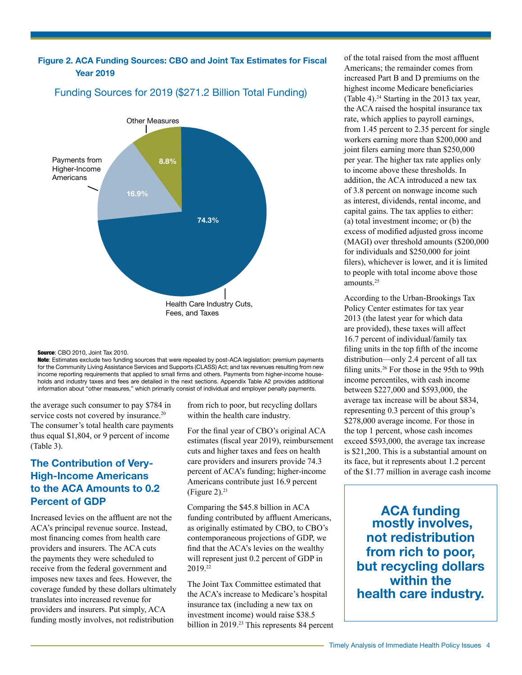# **Figure 2. ACA Funding Sources: CBO and Joint Tax Estimates for Fiscal Year 2019**



# Funding Sources for 2019 (\$271.2 Billion Total Funding)

Note: Estimates exclude two funding sources that were repealed by post-ACA legislation: premium payments for the Community Living Assistance Services and Supports (CLASS) Act; and tax revenues resulting from new income reporting requirements that applied to small firms and others. Payments from higher-income households and industry taxes and fees are detailed in the next sections. Appendix Table A2 provides additional information about "other measures," which primarily consist of individual and employer penalty payments.

the average such consumer to pay \$784 in service costs not covered by insurance.<sup>20</sup> The consumer's total health care payments thus equal \$1,804, or 9 percent of income (Table 3).

# **The Contribution of Very-High-Income Americans to the ACA Amounts to 0.2 Percent of GDP**

Increased levies on the affluent are not the ACA's principal revenue source. Instead, most financing comes from health care providers and insurers. The ACA cuts the payments they were scheduled to receive from the federal government and imposes new taxes and fees. However, the coverage funded by these dollars ultimately translates into increased revenue for providers and insurers. Put simply, ACA funding mostly involves, not redistribution

from rich to poor, but recycling dollars within the health care industry.

For the final year of CBO's original ACA estimates (fiscal year 2019), reimbursement cuts and higher taxes and fees on health care providers and insurers provide 74.3 percent of ACA's funding; higher-income Americans contribute just 16.9 percent (Figure 2). $21$ 

Comparing the \$45.8 billion in ACA funding contributed by affluent Americans, as originally estimated by CBO, to CBO's contemporaneous projections of GDP, we find that the ACA's levies on the wealthy will represent just 0.2 percent of GDP in 2019.[22](#page-9-7) 

The Joint Tax Committee estimated that the ACA's increase to Medicare's hospital insurance tax (including a new tax on investment income) would raise \$38.5 billion in 2019.<sup>23</sup> This represents 84 percent

of the total raised from the most affluent Americans; the remainder comes from increased Part B and D premiums on the highest income Medicare beneficiaries (Table 4).<sup>[24](#page-9-9)</sup> Starting in the 2013 tax year, the ACA raised the hospital insurance tax rate, which applies to payroll earnings, from 1.45 percent to 2.35 percent for single workers earning more than \$200,000 and joint filers earning more than \$250,000 per year. The higher tax rate applies only to income above these thresholds. In addition, the ACA introduced a new tax of 3.8 percent on nonwage income such as interest, dividends, rental income, and capital gains. The tax applies to either: (a) total investment income; or (b) the excess of modified adjusted gross income (MAGI) over threshold amounts (\$200,000 for individuals and \$250,000 for joint filers), whichever is lower, and it is limited to people with total income above those amounts.<sup>[25](#page-9-10)</sup>

According to the Urban-Brookings Tax Policy Center estimates for tax year 2013 (the latest year for which data are provided), these taxes will affect 16.7 percent of individual/family tax filing units in the top fifth of the income distribution—only 2.4 percent of all tax filing units.[26](#page-9-11) For those in the 95th to 99th income percentiles, with cash income between \$227,000 and \$593,000, the average tax increase will be about \$834, representing 0.3 percent of this group's \$278,000 average income. For those in the top 1 percent, whose cash incomes exceed \$593,000, the average tax increase is \$21,200. This is a substantial amount on its face, but it represents about 1.2 percent of the \$1.77 million in average cash income

**ACA funding mostly involves, not redistribution from rich to poor, but recycling dollars within the health care industry.**

Source: CBO 2010, Joint Tax 2010.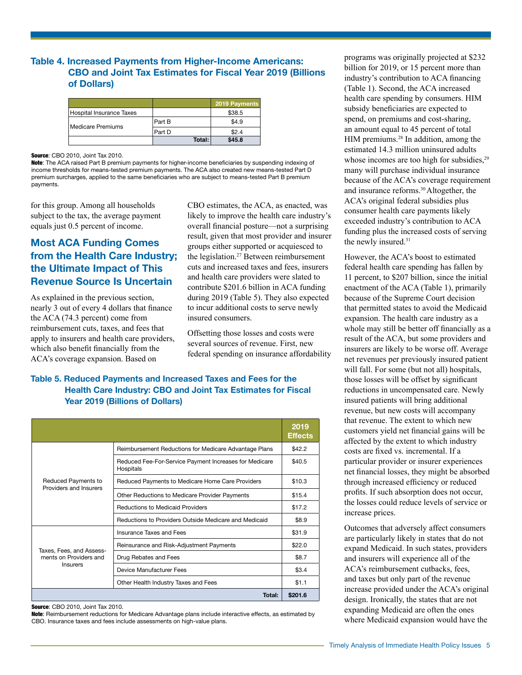# **Table 4. Increased Payments from Higher-Income Americans: CBO and Joint Tax Estimates for Fiscal Year 2019 (Billions of Dollars)**

|                          |        | 2019 Payments |
|--------------------------|--------|---------------|
| Hospital Insurance Taxes |        | \$38.5        |
|                          | Part B | \$4.9         |
| Medicare Premiums        | Part D | \$2.4         |
|                          | Total: | \$45.8        |

Source: CBO 2010, Joint Tax 2010.

Note: The ACA raised Part B premium payments for higher-income beneficiaries by suspending indexing of income thresholds for means-tested premium payments. The ACA also created new means-tested Part D premium surcharges, applied to the same beneficiaries who are subject to means-tested Part B premium payments.

for this group. Among all households subject to the tax, the average payment equals just 0.5 percent of income.

# **Most ACA Funding Comes from the Health Care Industry; the Ultimate Impact of This Revenue Source Is Uncertain**

As explained in the previous section, nearly 3 out of every 4 dollars that finance the ACA (74.3 percent) come from reimbursement cuts, taxes, and fees that apply to insurers and health care providers, which also benefit financially from the ACA's coverage expansion. Based on

CBO estimates, the ACA, as enacted, was likely to improve the health care industry's overall financial posture—not a surprising result, given that most provider and insurer groups either supported or acquiesced to the legislation.[27](#page-9-12) Between reimbursement cuts and increased taxes and fees, insurers and health care providers were slated to contribute \$201.6 billion in ACA funding during 2019 (Table 5). They also expected to incur additional costs to serve newly insured consumers.

Offsetting those losses and costs were several sources of revenue. First, new federal spending on insurance affordability

# **Table 5. Reduced Payments and Increased Taxes and Fees for the Health Care Industry: CBO and Joint Tax Estimates for Fiscal Year 2019 (Billions of Dollars)**

|                                                                |                                                                     | 2019<br><b>Effects</b> |
|----------------------------------------------------------------|---------------------------------------------------------------------|------------------------|
|                                                                | Reimbursement Reductions for Medicare Advantage Plans               | \$42.2                 |
|                                                                | Reduced Fee-For-Service Payment Increases for Medicare<br>Hospitals | \$40.5                 |
| Reduced Payments to                                            | Reduced Payments to Medicare Home Care Providers                    | \$10.3                 |
| Providers and Insurers                                         | Other Reductions to Medicare Provider Payments                      | \$15.4                 |
|                                                                | Reductions to Medicaid Providers                                    | \$17.2                 |
|                                                                | Reductions to Providers Outside Medicare and Medicaid               | \$8.9                  |
|                                                                | Insurance Taxes and Fees                                            | \$31.9                 |
| Taxes, Fees, and Assess-<br>ments on Providers and<br>Insurers | Reinsurance and Risk-Adjustment Payments                            | \$22.0                 |
|                                                                | Drug Rebates and Fees                                               | \$8.7                  |
|                                                                | Device Manufacturer Fees                                            | \$3.4                  |
|                                                                | Other Health Industry Taxes and Fees                                | \$1.1                  |
|                                                                | Total:                                                              | \$201.6                |

Source: CBO 2010, Joint Tax 2010.

Note: Reimbursement reductions for Medicare Advantage plans include interactive effects, as estimated by CBO. Insurance taxes and fees include assessments on high-value plans.

programs was originally projected at \$232 billion for 2019, or 15 percent more than industry's contribution to ACA financing (Table 1). Second, the ACA increased health care spending by consumers. HIM subsidy beneficiaries are expected to spend, on premiums and cost-sharing, an amount equal to 45 percent of total HIM premiums.[28](#page-9-13) In addition, among the estimated 14.3 million uninsured adults whose incomes are too high for subsidies,<sup>[29](#page-9-14)</sup> many will purchase individual insurance because of the ACA's coverage requirement and insurance reforms.[30](#page-9-15) Altogether, the ACA's original federal subsidies plus consumer health care payments likely exceeded industry's contribution to ACA funding plus the increased costs of serving the newly insured.<sup>31</sup>

However, the ACA's boost to estimated federal health care spending has fallen by 11 percent, to \$207 billion, since the initial enactment of the ACA (Table 1), primarily because of the Supreme Court decision that permitted states to avoid the Medicaid expansion. The health care industry as a whole may still be better off financially as a result of the ACA, but some providers and insurers are likely to be worse off. Average net revenues per previously insured patient will fall. For some (but not all) hospitals, those losses will be offset by significant reductions in uncompensated care. Newly insured patients will bring additional revenue, but new costs will accompany that revenue. The extent to which new customers yield net financial gains will be affected by the extent to which industry costs are fixed vs. incremental. If a particular provider or insurer experiences net financial losses, they might be absorbed through increased efficiency or reduced profits. If such absorption does not occur, the losses could reduce levels of service or increase prices.

Outcomes that adversely affect consumers are particularly likely in states that do not expand Medicaid. In such states, providers and insurers will experience all of the ACA's reimbursement cutbacks, fees, and taxes but only part of the revenue increase provided under the ACA's original design. Ironically, the states that are not expanding Medicaid are often the ones where Medicaid expansion would have the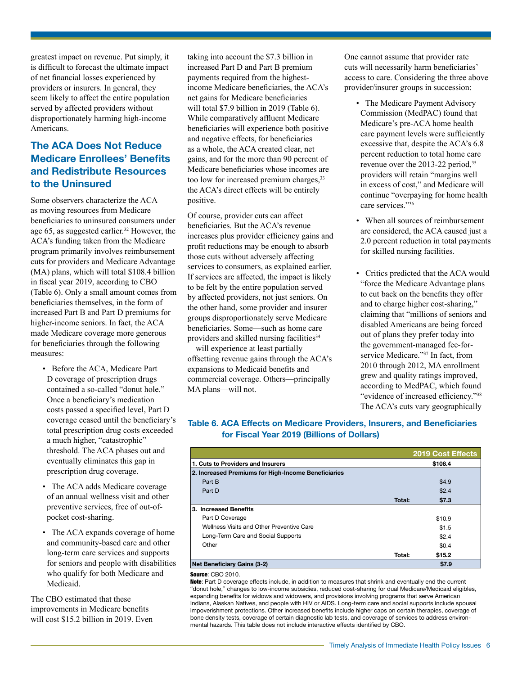greatest impact on revenue. Put simply, it is difficult to forecast the ultimate impact of net financial losses experienced by providers or insurers. In general, they seem likely to affect the entire population served by affected providers without disproportionately harming high-income Americans.

# **The ACA Does Not Reduce Medicare Enrollees' Benefits and Redistribute Resources to the Uninsured**

Some observers characterize the ACA as moving resources from Medicare beneficiaries to uninsured consumers under age 65, as suggested earlier.<sup>[32](#page-9-17)</sup> However, the ACA's funding taken from the Medicare program primarily involves reimbursement cuts for providers and Medicare Advantage (MA) plans, which will total \$108.4 billion in fiscal year 2019, according to CBO (Table 6). Only a small amount comes from beneficiaries themselves, in the form of increased Part B and Part D premiums for higher-income seniors. In fact, the ACA made Medicare coverage more generous for beneficiaries through the following measures:

- Before the ACA, Medicare Part D coverage of prescription drugs contained a so-called "donut hole." Once a beneficiary's medication costs passed a specified level, Part D coverage ceased until the beneficiary's total prescription drug costs exceeded a much higher, "catastrophic" threshold. The ACA phases out and eventually eliminates this gap in prescription drug coverage.
- The ACA adds Medicare coverage of an annual wellness visit and other preventive services, free of out-ofpocket cost-sharing.
- The ACA expands coverage of home and community-based care and other long-term care services and supports for seniors and people with disabilities who qualify for both Medicare and Medicaid.

The CBO estimated that these improvements in Medicare benefits will cost \$15.2 billion in 2019. Even

taking into account the \$7.3 billion in increased Part D and Part B premium payments required from the highestincome Medicare beneficiaries, the ACA's net gains for Medicare beneficiaries will total \$7.9 billion in 2019 (Table 6). While comparatively affluent Medicare beneficiaries will experience both positive and negative effects, for beneficiaries as a whole, the ACA created clear, net gains, and for the more than 90 percent of Medicare beneficiaries whose incomes are too low for increased premium charges, <sup>[33](#page-9-18)</sup> the ACA's direct effects will be entirely positive.

Of course, provider cuts can affect beneficiaries. But the ACA's revenue increases plus provider efficiency gains and profit reductions may be enough to absorb those cuts without adversely affecting services to consumers, as explained earlier. If services are affected, the impact is likely to be felt by the entire population served by affected providers, not just seniors. On the other hand, some provider and insurer groups disproportionately serve Medicare beneficiaries. Some—such as home care providers and skilled nursing facilities<sup>34</sup> —will experience at least partially offsetting revenue gains through the ACA's expansions to Medicaid benefits and commercial coverage. Others—principally MA plans—will not.

One cannot assume that provider rate cuts will necessarily harm beneficiaries' access to care. Considering the three above provider/insurer groups in succession:

- The Medicare Payment Advisory Commission (MedPAC) found that Medicare's pre-ACA home health care payment levels were sufficiently excessive that, despite the ACA's 6.8 percent reduction to total home care revenue over the 2013-22 period,<sup>[35](#page-9-20)</sup> providers will retain "margins well in excess of cost," and Medicare will continue "overpaying for home health care services.["36](#page-9-21)
- When all sources of reimbursement are considered, the ACA caused just a 2.0 percent reduction in total payments for skilled nursing facilities.
- Critics predicted that the ACA would "force the Medicare Advantage plans to cut back on the benefits they offer and to charge higher cost-sharing," claiming that "millions of seniors and disabled Americans are being forced out of plans they prefer today into the government-managed fee-forservice Medicare.["37](#page-9-22) In fact, from 2010 through 2012, MA enrollment grew and quality ratings improved, according to MedPAC, which found "evidence of increased efficiency."[38](#page-9-23) The ACA's cuts vary geographically

#### **Table 6. ACA Effects on Medicare Providers, Insurers, and Beneficiaries for Fiscal Year 2019 (Billions of Dollars)**

|                                                     |        | <b>2019 Cost Effects</b> |
|-----------------------------------------------------|--------|--------------------------|
| 1. Cuts to Providers and Insurers                   |        | \$108.4                  |
| 2. Increased Premiums for High-Income Beneficiaries |        |                          |
| Part B                                              |        | \$4.9                    |
| Part D                                              |        | \$2.4                    |
|                                                     | Total: | \$7.3                    |
| 3. Increased Benefits                               |        |                          |
| Part D Coverage                                     |        | \$10.9                   |
| Wellness Visits and Other Preventive Care           |        | \$1.5                    |
| Long-Term Care and Social Supports                  |        | \$2.4                    |
| Other                                               |        | \$0.4                    |
|                                                     | Total: | \$15.2                   |
| <b>Net Beneficiary Gains (3-2)</b>                  |        | \$7.9                    |
|                                                     |        |                          |

#### Source: CBO 2010.

Note: Part D coverage effects include, in addition to measures that shrink and eventually end the current "donut hole," changes to low-income subsidies, reduced cost-sharing for dual Medicare/Medicaid eligibles, expanding benefits for widows and widowers, and provisions involving programs that serve American Indians, Alaskan Natives, and people with HIV or AIDS. Long-term care and social supports include spousal impoverishment protections. Other increased benefits include higher caps on certain therapies, coverage of bone density tests, coverage of certain diagnostic lab tests, and coverage of services to address environmental hazards. This table does not include interactive effects identified by CBO.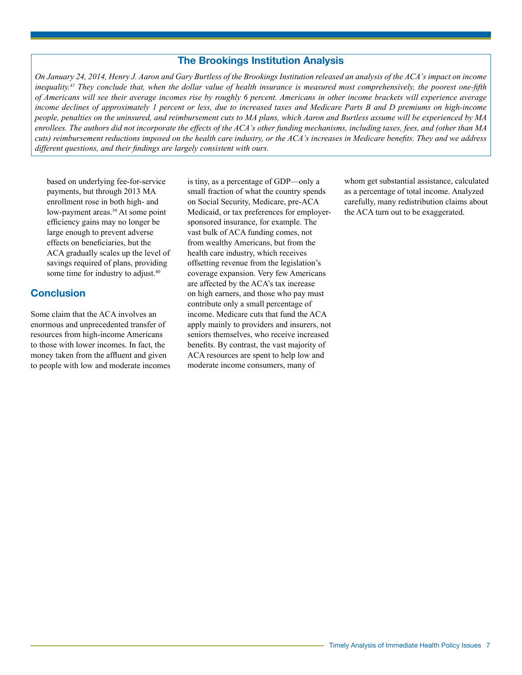#### **The Brookings Institution Analysis**

*On January 24, 2014, Henry J. Aaron and Gary Burtless of the Brookings Institution released an analysis of the ACA's impact on income inequality[.41](#page-10-0) They conclude that, when the dollar value of health insurance is measured most comprehensively, the poorest one-fifth of Americans will see their average incomes rise by roughly 6 percent. Americans in other income brackets will experience average income declines of approximately 1 percent or less, due to increased taxes and Medicare Parts B and D premiums on high-income people, penalties on the uninsured, and reimbursement cuts to MA plans, which Aaron and Burtless assume will be experienced by MA enrollees. The authors did not incorporate the effects of the ACA's other funding mechanisms, including taxes, fees, and (other than MA cuts) reimbursement reductions imposed on the health care industry, or the ACA's increases in Medicare benefits. They and we address different questions, and their findings are largely consistent with ours.*

based on underlying fee-for-service payments, but through 2013 MA enrollment rose in both high- and low-payment areas.<sup>[39](#page-9-24)</sup> At some point efficiency gains may no longer be large enough to prevent adverse effects on beneficiaries, but the ACA gradually scales up the level of savings required of plans, providing some time for industry to adjust.<sup>[40](#page-9-25)</sup>

# **Conclusion**

Some claim that the ACA involves an enormous and unprecedented transfer of resources from high-income Americans to those with lower incomes. In fact, the money taken from the affluent and given to people with low and moderate incomes is tiny, as a percentage of GDP—only a small fraction of what the country spends on Social Security, Medicare, pre-ACA Medicaid, or tax preferences for employersponsored insurance, for example. The vast bulk of ACA funding comes, not from wealthy Americans, but from the health care industry, which receives offsetting revenue from the legislation's coverage expansion. Very few Americans are affected by the ACA's tax increase on high earners, and those who pay must contribute only a small percentage of income. Medicare cuts that fund the ACA apply mainly to providers and insurers, not seniors themselves, who receive increased benefits. By contrast, the vast majority of ACA resources are spent to help low and moderate income consumers, many of

whom get substantial assistance, calculated as a percentage of total income. Analyzed carefully, many redistribution claims about the ACA turn out to be exaggerated.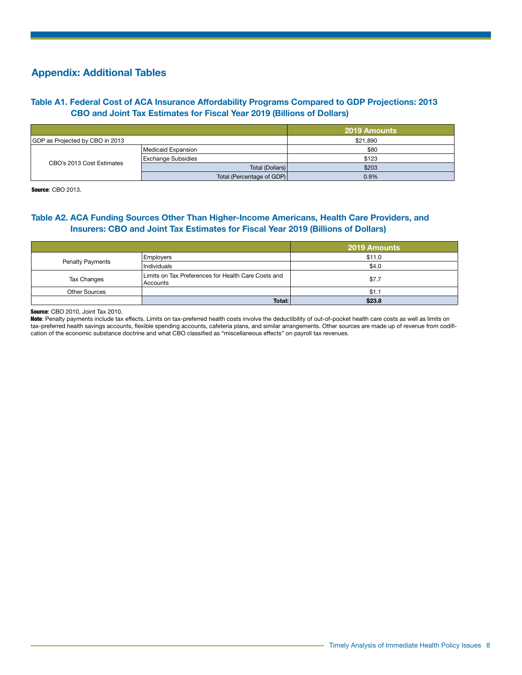# **Appendix: Additional Tables**

# **Table A1. Federal Cost of ACA Insurance Affordability Programs Compared to GDP Projections: 2013 CBO and Joint Tax Estimates for Fiscal Year 2019 (Billions of Dollars)**

|                                 |                           | 2019 Amounts |
|---------------------------------|---------------------------|--------------|
| GDP as Projected by CBO in 2013 |                           | \$21.890     |
| CBO's 2013 Cost Estimates       | Medicaid Expansion        | \$80         |
|                                 | <b>Exchange Subsidies</b> | \$123        |
|                                 | Total (Dollars)           | \$203        |
|                                 | Total (Percentage of GDP) | 0.9%         |

**Source: CBO 2013.** 

# **Table A2. ACA Funding Sources Other Than Higher-Income Americans, Health Care Providers, and Insurers: CBO and Joint Tax Estimates for Fiscal Year 2019 (Billions of Dollars)**

|                         |                                                                 | <b>2019 Amounts</b> |
|-------------------------|-----------------------------------------------------------------|---------------------|
|                         | Employers                                                       | \$11.0              |
| <b>Penalty Payments</b> | Individuals                                                     | \$4.0               |
| Tax Changes             | Limits on Tax Preferences for Health Care Costs and<br>Accounts | \$7.7               |
| <b>Other Sources</b>    |                                                                 | \$1.1               |
|                         | Total:                                                          | \$23.8              |

Source: CBO 2010, Joint Tax 2010.

Note: Penalty payments include tax effects. Limits on tax-preferred health costs involve the deductibility of out-of-pocket health care costs as well as limits on tax-preferred health savings accounts, flexible spending accounts, cafeteria plans, and similar arrangements. Other sources are made up of revenue from codification of the economic substance doctrine and what CBO classified as "miscellaneous effects" on payroll tax revenues.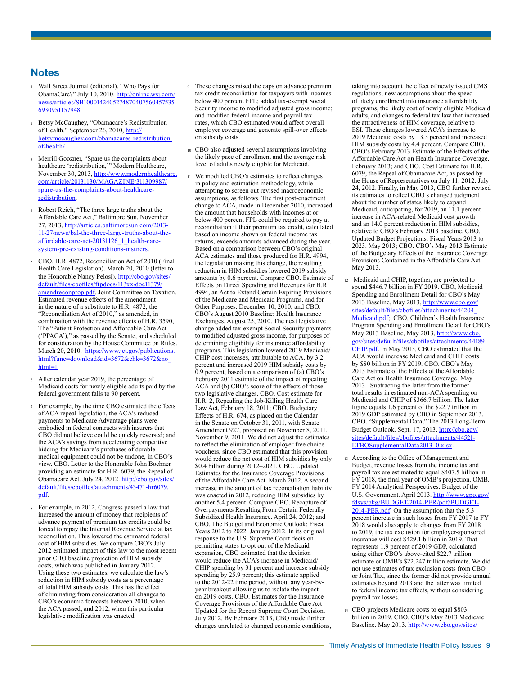# **Notes**

- <span id="page-8-0"></span><sup>1</sup> Wall Street Journal (editorial). "Who Pays for ObamaCare?" July 10, 2010. [http://online.wsj.com/](http://online.wsj.com/news/articles/SB10001424052748704075604575356930951157948) [news/articles/SB1000142405274870407560457535](http://online.wsj.com/news/articles/SB10001424052748704075604575356930951157948) [6930951157948](http://online.wsj.com/news/articles/SB10001424052748704075604575356930951157948).
- <span id="page-8-1"></span><sup>2</sup> Betsy McCaughey, "Obamacare's Redistribution of Health." September 26, 2010, [http://](http://betsymccaughey.com/obamacares) [betsymccaughey.com/obamacares-](http://betsymccaughey.com/obamacares)redistributionof-health/.
- <span id="page-8-2"></span><sup>3</sup> Merrill Goozner, "Spare us the complaints about healthcare 'redistribution,'" Modern Healthcare, November 30, 2013, [http://www.modernhealthcare.](http://www.modernhealthcare.com/article/20131130/MAGAZINE/311309987/spare-us-the-complaints-about-healthcare-redistribution) [com/article/20131130/MAGAZINE/311309987/](http://www.modernhealthcare.com/article/20131130/MAGAZINE/311309987/spare-us-the-complaints-about-healthcare-redistribution) [spare-us-the-complaints-about-healthcare](http://www.modernhealthcare.com/article/20131130/MAGAZINE/311309987/spare-us-the-complaints-about-healthcare-redistribution)[redistribution.](http://www.modernhealthcare.com/article/20131130/MAGAZINE/311309987/spare-us-the-complaints-about-healthcare-redistribution)
- <span id="page-8-3"></span><sup>4</sup> Robert Reich, "The three large truths about the Affordable Care Act," Baltimore Sun, November 27, 2013, [http://articles.baltimoresun.com/2013-](http://articles.baltimoresun.com/2013-11-27/news/bal-the-three-large-truths-about-the-affordable-care-act-20131126_1_health-care-system-pre-existing-conditions-insurers) [11-27/news/bal-the-three-large-truths-about-the](http://articles.baltimoresun.com/2013-11-27/news/bal-the-three-large-truths-about-the-affordable-care-act-20131126_1_health-care-system-pre-existing-conditions-insurers)[affordable-care-act-20131126\\_1\\_health-care](http://articles.baltimoresun.com/2013-11-27/news/bal-the-three-large-truths-about-the-affordable-care-act-20131126_1_health-care-system-pre-existing-conditions-insurers)[system-pre-existing-conditions-insurers](http://articles.baltimoresun.com/2013-11-27/news/bal-the-three-large-truths-about-the-affordable-care-act-20131126_1_health-care-system-pre-existing-conditions-insurers).
- <span id="page-8-4"></span><sup>5</sup> CBO. H.R. 4872, Reconciliation Act of 2010 (Final Health Care Legislation). March 20, 2010 (letter to the Honorable Nancy Pelosi). [http://cbo.gov/sites/](http://cbo.gov/sites/default/files/cbofiles/ftpdocs/113xx/doc11379/amendreconprop.pdf) [default/files/cbofiles/ftpdocs/113xx/doc11379/](http://cbo.gov/sites/default/files/cbofiles/ftpdocs/113xx/doc11379/amendreconprop.pdf) [amendreconprop.pdf](http://cbo.gov/sites/default/files/cbofiles/ftpdocs/113xx/doc11379/amendreconprop.pdf). Joint Committee on Taxation. Estimated revenue effects of the amendment in the nature of a substitute to H.R. 4872, the "Reconciliation Act of 2010," as amended, in combination with the revenue effects of H.R. 3590, The "Patient Protection and Affordable Care Act ('PPACA')," as passed by the Senate, and scheduled for consideration by the House Committee on Rules. March 20, 2010. [https://www.jct.gov/publications.](https://www.jct.gov/publications.html?func=download&id=3672&chk=3672&no_html=1.) [html?func=download&id=3672&chk=3672&no\\_](https://www.jct.gov/publications.html?func=download&id=3672&chk=3672&no_html=1.) [html=1.](https://www.jct.gov/publications.html?func=download&id=3672&chk=3672&no_html=1.)
- <span id="page-8-5"></span>After calendar year 2019, the percentage of Medicaid costs for newly eligible adults paid by the federal government falls to 90 percent.
- <span id="page-8-6"></span>For example, by the time CBO estimated the effects of ACA repeal legislation, the ACA's reduced payments to Medicare Advantage plans were embodied in federal contracts with insurers that CBO did not believe could be quickly reversed; and the ACA's savings from accelerating competitive bidding for Medicare's purchases of durable medical equipment could not be undone, in CBO's view. CBO. Letter to the Honorable John Boehner providing an estimate for H.R. 6079, the Repeal of Obamacare Act. July 24, 2012. [http://cbo.gov/sites/](http://cbo.gov/sites/default/files/cbofiles/attachments/43471-hr6079.pdf) [default/files/cbofiles/attachments/43471-hr6079.](http://cbo.gov/sites/default/files/cbofiles/attachments/43471-hr6079.pdf) [pdf.](http://cbo.gov/sites/default/files/cbofiles/attachments/43471-hr6079.pdf)
- <span id="page-8-7"></span><sup>8</sup> For example, in 2012, Congress passed a law that increased the amount of money that recipients of advance payment of premium tax credits could be forced to repay the Internal Revenue Service at tax reconciliation. This lowered the estimated federal cost of HIM subsidies. We compare CBO's July 2012 estimated impact of this law to the most recent prior CBO baseline projection of HIM subsidy costs, which was published in January 2012. Using these two estimates, we calculate the law's reduction in HIM subsidy costs as a percentage of total HIM subsidy costs. This has the effect of eliminating from consideration all changes to CBO's economic forecasts between 2010, when the ACA passed, and 2012, when this particular legislative modification was enacted.
- <span id="page-8-8"></span><sup>9</sup> These changes raised the caps on advance premium tax credit reconciliation for taxpayers with incomes below 400 percent FPL; added tax-exempt Social Security income to modified adjusted gross income; and modified federal income and payroll tax rates, which CBO estimated would affect overall employer coverage and generate spill-over effects on subsidy costs.
- <span id="page-8-9"></span><sup>10</sup> CBO also adjusted several assumptions involving the likely pace of enrollment and the average risk level of adults newly eligible for Medicaid.
- <span id="page-8-10"></span><sup>11</sup> We modified CBO's estimates to reflect changes in policy and estimation methodology, while attempting to screen out revised macroeconomic assumptions, as follows. The first post-enactment change to ACA, made in December 2010, increased the amount that households with incomes at or below 400 percent FPL could be required to pay at reconciliation if their premium tax credit, calculated based on income shown on federal income tax returns, exceeds amounts advanced during the year. Based on a comparison between CBO's original ACA estimates and those produced for H.R. 4994, the legislation making this change, the resulting reduction in HIM subsidies lowered 2019 subsidy amounts by 0.6 percent. Compare CBO. Estimate of Effects on Direct Spending and Revenues for H.R. 4994, an Act to Extend Certain Expiring Provisions of the Medicare and Medicaid Programs, and for Other Purposes. December 10, 2010; and CBO. CBO's August 2010 Baseline: Health Insurance Exchanges. August 25, 2010. The next legislative change added tax-exempt Social Security payments to modified adjusted gross income, for purposes of determining eligibility for insurance affordability programs. This legislation lowered 2019 Medicaid/ CHIP cost increases, attributable to ACA, by 3.2 percent and increased 2019 HIM subsidy costs by 0.9 percent, based on a comparison of (a) CBO's February 2011 estimate of the impact of repealing ACA and (b) CBO's score of the effects of those two legislative changes. CBO. Cost estimate for H.R. 2, Repealing the Job-Killing Health Care Law Act, February 18, 2011; CBO. Budgetary Effects of H.R. 674, as placed on the Calendar in the Senate on October 31, 2011, with Senate Amendment 927, proposed on November 8, 2011. November 9, 2011. We did not adjust the estimates to reflect the elimination of employer free choice vouchers, since CBO estimated that this provision would reduce the net cost of HIM subsidies by only \$0.4 billion during 2012–2021. CBO. Updated Estimates for the Insurance Coverage Provisions of the Affordable Care Act. March 2012. A second increase in the amount of tax reconciliation liability was enacted in 2012, reducing HIM subsidies by another 5.4 percent. Compare CBO. Recapture of Overpayments Resulting From Certain Federally Subsidized Health Insurance. April 24, 2012; and CBO. The Budget and Economic Outlook: Fiscal Years 2012 to 2022. January 2012. In its original response to the U.S. Supreme Court decision permitting states to opt out of the Medicaid expansion, CBO estimated that the decision would reduce the ACA's increase in Medicaid/ CHIP spending by 31 percent and increase subsidy spending by 25.9 percent; this estimate applied to the 2012-22 time period, without any year-byyear breakout allowing us to isolate the impact on 2019 costs. CBO. Estimates for the Insurance Coverage Provisions of the Affordable Care Act Updated for the Recent Supreme Court Decision. July 2012. By February 2013, CBO made further changes unrelated to changed economic conditions,

taking into account the effect of newly issued CMS regulations, new assumptions about the speed of likely enrollment into insurance affordability programs, the likely cost of newly eligible Medicaid adults, and changes to federal tax law that increased the attractiveness of HIM coverage, relative to ESI. These changes lowered ACA's increase to 2019 Medicaid costs by 13.3 percent and increased HIM subsidy costs by 4.4 percent. Compare CBO. CBO's February 2013 Estimate of the Effects of the Affordable Care Act on Health Insurance Coverage. February 2013; and CBO. Cost Estimate for H.R. 6079, the Repeal of Obamacare Act, as passed by the House of Representatives on July 11, 2012. July 24, 2012. Finally, in May 2013, CBO further revised its estimates to reflect CBO's changed judgment about the number of states likely to expand Medicaid, anticipating, for 2019, an 11.1 percent increase in ACA-related Medicaid cost growth and an 14.0 percent reduction in HIM subsidies, relative to CBO's February 2013 baseline. CBO. Updated Budget Projections: Fiscal Years 2013 to 2023. May 2013; CBO. CBO's May 2013 Estimate of the Budgetary Effects of the Insurance Coverage Provisions Contained in the Affordable Care Act. May 2013.

- <span id="page-8-11"></span><sup>12</sup> Medicaid and CHIP, together, are projected to spend \$446.7 billion in FY 2019. CBO, Medicaid Spending and Enrollment Detail for CBO's May 2013 Baseline, May 2013, [http://www.cbo.gov/](http://www.cbo.gov/sites/default/files/cbofiles/attachments/44204_Medicaid.pdf) [sites/default/files/cbofiles/attachments/44204\\_](http://www.cbo.gov/sites/default/files/cbofiles/attachments/44204_Medicaid.pdf) [Medicaid.pdf](http://www.cbo.gov/sites/default/files/cbofiles/attachments/44204_Medicaid.pdf); CBO, Children's Health Insurance Program Spending and Enrollment Detail for CBO's May 2013 Baseline, May 2013, [http://www.cbo.](http://www.cbo.gov/sites/default/files/cbofiles/attachments/44189-CHIP.pdf) [gov/sites/default/files/cbofiles/attachments/44189-](http://www.cbo.gov/sites/default/files/cbofiles/attachments/44189-CHIP.pdf) [CHIP.pdf. In](http://www.cbo.gov/sites/default/files/cbofiles/attachments/44189-CHIP.pdf) May 2013, CBO estimated that the ACA would increase Medicaid and CHIP costs by \$80 billion in FY 2019. CBO. CBO's May 2013 Estimate of the Effects of the Affordable Care Act on Health Insurance Coverage. May 2013. Subtracting the latter from the former total results in estimated non-ACA spending on Medicaid and CHIP of \$366.7 billion. The latter figure equals 1.6 percent of the \$22.7 trillion in 2019 GDP estimated by CBO in September 2013. CBO. "Supplemental Data," The 2013 Long-Term Budget Outlook. Sept. 17, 2013. [http://cbo.gov/](http://cbo.gov/sites/default/files/cbofiles/attachments/44521-LTBOSupplementalData2013_0.xlsx) [sites/default/files/cbofiles/attachments/44521-](http://cbo.gov/sites/default/files/cbofiles/attachments/44521-LTBOSupplementalData2013_0.xlsx) [LTBOSupplementalData2013\\_0.xlsx](http://cbo.gov/sites/default/files/cbofiles/attachments/44521-LTBOSupplementalData2013_0.xlsx).
- <span id="page-8-12"></span><sup>13</sup> According to the Office of Management and Budget, revenue losses from the income tax and payroll tax are estimated to equal \$407.5 billion in FY 2018, the final year of OMB's projection. OMB. FY 2014 Analytical Perspectives: Budget of the U.S. Government. April 2013. [http://www.gpo.gov/](http://www.gpo.gov/fdsys/pkg/BUDGET-2014-PER/pdf/BUDGET-2014-PER.pdf) [fdsys/pkg/BUDGET-2014-PER/pdf/BUDGET-](http://www.gpo.gov/fdsys/pkg/BUDGET-2014-PER/pdf/BUDGET-2014-PER.pdf)[2014-PER.pdf.](http://www.gpo.gov/fdsys/pkg/BUDGET-2014-PER/pdf/BUDGET-2014-PER.pdf) On the assumption that the 5.3 percent increase in such losses from FY 2017 to FY 2018 would also apply to changes from FY 2018 to 2019, the tax exclusion for employer-sponsored insurance will cost \$429.1 billion in 2019. That represents 1.9 percent of 2019 GDP, calculated using either CBO's above-cited \$22.7 trillion estimate or OMB's \$22.247 trillion estimate. We did not use estimates of tax exclusion costs from CBO or Joint Tax, since the former did not provide annual estimates beyond 2013 and the latter was limited to federal income tax effects, without considering payroll tax losses.
- <span id="page-8-13"></span><sup>14</sup> CBO projects Medicare costs to equal \$803 billion in 2019. CBO. CBO's May 2013 Medicare Baseline. May 2013. [http://www.cbo.gov/sites/](http://www.cbo.gov/sites/default/files/cbofiles/attachments/44205_Medicare_0.pdf)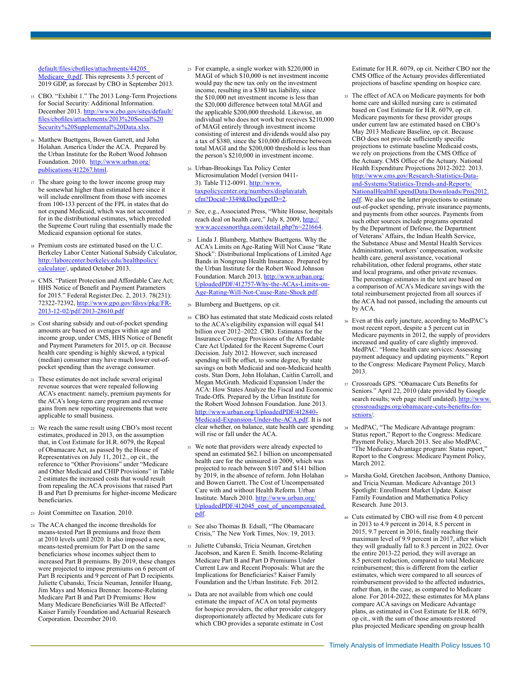[default/files/cbofiles/attachments/44205\\_](http://www.cbo.gov/sites/default/files/cbofiles/attachments/44205_Medicare_0.pdf) Medicare 0.pdf. This represents 3.5 percent of 2019 GDP, as forecast by CBO in September 2013.

- <span id="page-9-0"></span><sup>15</sup> CBO. "Exhibit 1." The 2013 Long-Term Projections for Social Security: Additional Information. December 2013. [http://www.cbo.gov/sites/default/](http://goo.gl/v1VNcy) [files/cbofiles/attachments/2013%20Social%20](http://goo.gl/v1VNcy) [Security%20Supplemental%20Data.xlsx](http://goo.gl/v1VNcy).
- <span id="page-9-1"></span><sup>16</sup> Matthew Buettgens, Bowen Garrett, and John Holahan. America Under the ACA. Prepared by the Urban Institute for the Robert Wood Johnson Foundation. 2010. [http://www.urban.org/](http://www.urban.org/publications/412267.html) [publications/412267.html.](http://www.urban.org/publications/412267.html)
- <span id="page-9-2"></span><sup>17</sup> The share going to the lower income group may be somewhat higher than estimated here since it will include enrollment from those with incomes from 100-133 percent of the FPL in states that do not expand Medicaid, which was not accounted for in the distributional estimates, which preceded the Supreme Court ruling that essentially made the Medicaid expansion optional for states.
- <span id="page-9-3"></span><sup>18</sup> Premium costs are estimated based on the U.C. Berkeley Labor Center National Subsidy Calculator, [http://laborcenter.berkeley.edu/healthpolicy/](http://laborcenter.berkeley.edu/healthpolicy/calculator) [calculator](http://laborcenter.berkeley.edu/healthpolicy/calculator)/, updated October 2013.
- <span id="page-9-4"></span><sup>19</sup> CMS. "Patient Protection and Affordable Care Act; HHS Notice of Benefit and Payment Parameters for 2015." Federal Register.Dec. 2, 2013. 78(231): 72322-72392, [http://www.gpo.gov/fdsys/pkg/FR-](http://www.gpo.gov/fdsys/pkg/FR-2013-12-02/pdf/2013-28610.pdf)[2013-12-02/pdf/2013-28610.pdf](http://www.gpo.gov/fdsys/pkg/FR-2013-12-02/pdf/2013-28610.pdf)
- <span id="page-9-5"></span><sup>20</sup> Cost sharing subsidy and out-of-pocket spending amounts are based on averages within age and income group, under CMS, HHS Notice of Benefit and Payment Parameters for 2015, op cit. Because health care spending is highly skewed, a typical (median) consumer may have much lower out-ofpocket spending than the average consumer.
- <span id="page-9-6"></span><sup>21</sup> These estimates do not include several original revenue sources that were repealed following ACA's enactment: namely, premium payments for the ACA's long-term care program and revenue gains from new reporting requirements that were applicable to small business.
- <span id="page-9-7"></span><sup>22</sup> We reach the same result using CBO's most recent estimates, produced in 2013, on the assumption that, in Cost Estimate for H.R. 6079, the Repeal of Obamacare Act, as passed by the House of Representatives on July 11, 2012., op cit., the reference to "Other Provisions" under "Medicare and Other Medicaid and CHIP Provisions" in Table 2 estimates the increased costs that would result from repealing the ACA provisions that raised Part B and Part D premiums for higher-income Medicare beneficiaries.
- <span id="page-9-8"></span><sup>23</sup> Joint Committee on Taxation. 2010.
- <span id="page-9-9"></span><sup>24</sup> The ACA changed the income thresholds for means-tested Part B premiums and froze them at 2010 levels until 2020. It also imposed a new, means-tested premium for Part D on the same beneficiaries whose incomes subject them to increased Part B premiums. By 2019, these changes were projected to impose premiums on 6 percent of Part B recipients and 9 percent of Part D recipients. Juliette Cubanski, Tricia Neuman, Jennifer Huang, Jim Mays and Monica Brenner. Income-Relating Medicare Part B and Part D Premiums: How Many Medicare Beneficiaries Will Be Affected? Kaiser Family Foundation and Actuarial Research Corporation. December 2010.
- <span id="page-9-10"></span><sup>25</sup> For example, a single worker with \$220,000 in MAGI of which \$10,000 is net investment income would pay the new tax only on the investment income, resulting in a \$380 tax liability, since the \$10,000 net investment income is less than the \$20,000 difference between total MAGI and the applicable \$200,000 threshold. Likewise, an individual who does not work but receives \$210,000 of MAGI entirely through investment income consisting of interest and dividends would also pay a tax of \$380, since the \$10,000 difference between total MAGI and the \$200,000 threshold is less than the person's \$210,000 in investment income.
- <span id="page-9-11"></span><sup>26</sup> Urban-Brookings Tax Policy Center Microsimulation Model (version 0411- 3). Table T12-0091. [http://www.](http://www.taxpolicycenter.org/numbers/displayatab.cfm?Docid=3349&DocTypeID=2) [taxpolicycenter.org/numbers/displayatab.](http://www.taxpolicycenter.org/numbers/displayatab.cfm?Docid=3349&DocTypeID=2) [cfm?Docid=3349&DocTypeID=2](http://www.taxpolicycenter.org/numbers/displayatab.cfm?Docid=3349&DocTypeID=2).
- <span id="page-9-12"></span><sup>27</sup> See, e.g., Associated Press, "White House, hospitals reach deal on health care," July 8, 2009, [http://](http://www.accessnorthga.com/detail.php?n=221664.) [www.accessnorthga.com/detail.php?n=221664.](http://www.accessnorthga.com/detail.php?n=221664.)
- <span id="page-9-13"></span><sup>28</sup> Linda J. Blumberg, Matthew Buettgens. Why the ACA's Limits on Age-Rating Will Not Cause "Rate Shock": Distributional Implications of Limited Age Bands in Nongroup Health Insurance. Prepared by the Urban Institute for the Robert Wood Johnson Foundation. March 2013. [http://www.urban.org/](http://www.urban.org/UploadedPDF/412757-Why-the-ACAs-Limits-on-Age-Rating-Will-Not-Cause-Rate-Shock.pdf) [UploadedPDF/412757-Why-the-ACAs-Limits-on-](http://www.urban.org/UploadedPDF/412757-Why-the-ACAs-Limits-on-Age-Rating-Will-Not-Cause-Rate-Shock.pdf)[Age-Rating-Will-Not-Cause-Rate-Shock.pdf](http://www.urban.org/UploadedPDF/412757-Why-the-ACAs-Limits-on-Age-Rating-Will-Not-Cause-Rate-Shock.pdf).
- <span id="page-9-14"></span><sup>29</sup> Blumberg and Buettgens, op cit.
- <span id="page-9-15"></span><sup>30</sup> CBO has estimated that state Medicaid costs related to the ACA's eligibility expansion will equal \$41 billion over 2012–2022. CBO. Estimates for the Insurance Coverage Provisions of the Affordable Care Act Updated for the Recent Supreme Court Decision. July 2012. However, such increased spending will be offset, to some degree, by state savings on both Medicaid and non-Medicaid health costs. Stan Dorn, John Holahan, Caitlin Carroll, and Megan McGrath. Medicaid Expansion Under the ACA: How States Analyze the Fiscal and Economic Trade-Offs. Prepared by the Urban Institute for the Robert Wood Johnson Foundation. June 2013. [http://www.urban.org/UploadedPDF/412840-](http://www.urban.org/UploadedPDF/412840-Medicaid-Expansion-Under-the-ACA.pdf) [Medicaid-Expansion-Under-the-ACA.pdf](http://www.urban.org/UploadedPDF/412840-Medicaid-Expansion-Under-the-ACA.pdf). It is not clear whether, on balance, state health care spending will rise or fall under the ACA.
- <span id="page-9-16"></span><sup>31</sup> We note that providers were already expected to spend an estimated \$62.1 billion on uncompensated health care for the uninsured in 2009, which was projected to reach between \$107 and \$141 billion by 2019, in the absence of reform. John Holahan and Bowen Garrett. The Cost of Uncompensated Care with and without Health Reform. Urban Institute. March 2010. [http://www.urban.org/](http://www.urban.org/UploadedPDF/412045_cost_of_uncompensated.pdf) [UploadedPDF/412045\\_cost\\_of\\_uncompensated.](http://www.urban.org/UploadedPDF/412045_cost_of_uncompensated.pdf) [pdf.](http://www.urban.org/UploadedPDF/412045_cost_of_uncompensated.pdf)
- <span id="page-9-17"></span><sup>32</sup> See also Thomas B. Edsall, "The Obamacare Crisis," The New York Times, Nov. 19, 2013.
- <span id="page-9-18"></span><sup>33</sup> Juliette Cubanski, Tricia Neuman, Gretchen Jacobson, and Karen E. Smith. Income-Relating Medicare Part B and Part D Premiums Under Current Law and Recent Proposals: What are the Implications for Beneficiaries? Kaiser Family Foundation and the Urban Institute. Feb. 2012.
- <span id="page-9-19"></span><sup>34</sup> Data are not available from which one could estimate the impact of ACA on total payments for hospice providers, the other provider category disproportionately affected by Medicare cuts for which CBO provides a separate estimate in Cost

Estimate for H.R. 6079, op cit. Neither CBO nor the CMS Office of the Actuary provides differentiated projections of baseline spending on hospice care.

- <span id="page-9-20"></span><sup>35</sup> The effect of ACA on Medicare payments for both home care and skilled nursing care is estimated based on Cost Estimate for H.R. 6079, op cit. Medicare payments for these provider groups under current law are estimated based on CBO's May 2013 Medicare Baseline, op cit. Because CBO does not provide sufficiently specific projections to estimate baseline Medicaid costs, we rely on projections from the CMS Office of the Actuary. CMS Office of the Actuary. National Health Expenditure Projections 2012-2022. 2013. [http://www.cms.gov/Research-Statistics-Data](http://www.cms.gov/Research-Statistics-Data-and-Systems/Statistics-Trends-and-Reports/NationalHealthExpendData/Downloads/Proj2012.pdf)[and-Systems/Statistics-Trends-and-Reports/](http://www.cms.gov/Research-Statistics-Data-and-Systems/Statistics-Trends-and-Reports/NationalHealthExpendData/Downloads/Proj2012.pdf) [NationalHealthExpendData/Downloads/Proj2012.](http://www.cms.gov/Research-Statistics-Data-and-Systems/Statistics-Trends-and-Reports/NationalHealthExpendData/Downloads/Proj2012.pdf) [pdf](http://www.cms.gov/Research-Statistics-Data-and-Systems/Statistics-Trends-and-Reports/NationalHealthExpendData/Downloads/Proj2012.pdf). We also use the latter projections to estimate out-of-pocket spending, private insurance payments, and payments from other sources. Payments from such other sources include programs operated by the Department of Defense, the Department of Veterans' Affairs, the Indian Health Service, the Substance Abuse and Mental Health Services Administration, workers' compensation, worksite health care, general assistance, vocational rehabilitation, other federal programs, other state and local programs, and other private revenues. The percentage estimates in the text are based on a comparison of ACA's Medicare savings with the total reimbursement projected from all sources if the ACA had not passed, including the amounts cut by ACA.
- <span id="page-9-21"></span><sup>36</sup> Even at this early juncture, according to MedPAC's most recent report, despite a 5 percent cut in Medicare payments in 2012, the supply of providers increased and quality of care slightly improved. MedPAC. "Home health care services: Assessing payment adequacy and updating payments." Report to the Congress: Medicare Payment Policy, March 2013.
- <span id="page-9-22"></span><sup>37</sup> Crossroads GPS. "Obamacare Cuts Benefits for Seniors." April 22, 2010 (date provided by Google search results; web page itself undated). [http://www.](http://www.crossroadsgps.org/obamacare-cuts-benefits-for-seniors/%20) [crossroadsgps.org/obamacare-cuts-benefits-for](http://www.crossroadsgps.org/obamacare-cuts-benefits-for-seniors/%20)[seniors/.](http://www.crossroadsgps.org/obamacare-cuts-benefits-for-seniors/%20)
- <span id="page-9-23"></span><sup>38</sup> MedPAC, "The Medicare Advantage program: Status report," Report to the Congress: Medicare Payment Policy, March 2013. See also MedPAC, "The Medicare Advantage program: Status report," Report to the Congress: Medicare Payment Policy, March 2012.
- <span id="page-9-24"></span><sup>39</sup> Marsha Gold, Gretchen Jacobson, Anthony Damico, and Tricia Neuman. Medicare Advantage 2013 Spotlight: Enrollment Market Update. Kaiser Family Foundation and Mathematica Policy Research. June 2013.
- <span id="page-9-25"></span><sup>40</sup> Cuts estimated by CBO will rise from 4.0 percent in 2013 to 4.9 percent in 2014, 8.5 percent in 2015, 9.7 percent in 2016, finally reaching their maximum level of 9.9 percent in 2017, after which they will gradually fall to 8.3 percent in 2022. Over the entire 2013-22 period, they will average an 8.5 percent reduction, compared to total Medicare reimbursement; this is different from the earlier estimates, which were compared to all sources of reimbursement provided to the affected industries, rather than, in the case, as compared to Medicare alone. For 2014-2022, these estimates for MA plans compare ACA savings on Medicare Advantage plans, as estimated in Cost Estimate for H.R. 6079, op cit., with the sum of those amounts restored plus projected Medicare spending on group health